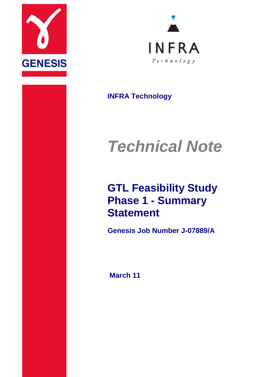



**INFRA Technology**

# *Technical Note*

## **GTL Feasibility Study Phase 1 - Summary Statement**

**Genesis Job Number J-07889/A**

**March 11**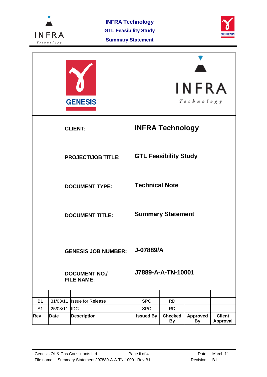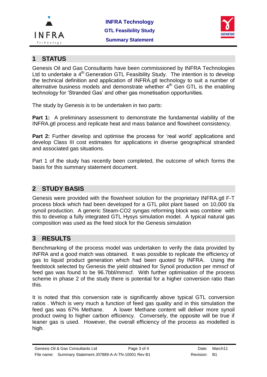



#### **1 STATUS**

Genesis Oil and Gas Consultants have been commissioned by INFRA Technologies Ltd to undertake a  $4<sup>th</sup>$  Generation GTL Feasibility Study. The intention is to develop the technical definition and application of INFRA.gtl technology to suit a number of alternative business models and demonstrate whether  $4<sup>th</sup>$  Gen GTL is the enabling technology for 'Stranded Gas' and other gas monetisation opportunities.

The study by Genesis is to be undertaken in two parts:

**Part 1:** A preliminary assessment to demonstrate the fundamental viability of the INFRA.gtl process and replicate heat and mass balance and flowsheet consistency.

Part 2: Further develop and optimise the process for 'real world' applications and develop Class III cost estimates for applications in diverse geographical stranded and associated gas situations.

Part 1 of the study has recently been completed, the outcome of which forms the basis for this summary statement document.

### **2 STUDY BASIS**

Genesis were provided with the flowsheet solution for the proprietary INFRA.gtl F-T process block which had been developed for a GTL pilot plant based on 10,000 t/a synoil production. A generic Steam-CO2 syngas reforming block was combine with this to develop a fully integrated GTL Hysys simulation model. A typical natural gas composition was used as the feed stock for the Genesis simulation

#### **3 RESULTS**

Benchmarking of the process model was undertaken to verify the data provided by INFRA and a good match was obtained. It was possible to replicate the efficiency of gas to liquid product generation which had been quoted by INFRA. Using the feedstock selected by Genesis the yield obtained for Synoil production per mmscf of feed gas was found to be 96.7bbl/mmscf. With further optimisation of the process scheme in phase 2 of the study there is potential for a higher conversion ratio than this.

It is noted that this conversion rate is significantly above typical GTL conversion ratios . Which is very much a function of feed gas quality and in this simulation the feed gas was 67% Methane. A lower Methane content will deliver more synoil product owing to higher carbon efficiency. Conversely, the opposite will be true if leaner gas is used. However, the overall efficiency of the process as modelled is high.